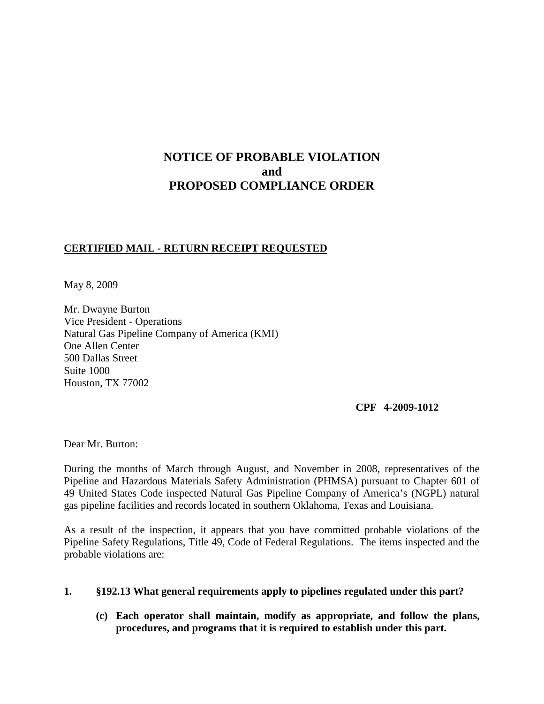# **NOTICE OF PROBABLE VIOLATION and PROPOSED COMPLIANCE ORDER**

## **CERTIFIED MAIL - RETURN RECEIPT REQUESTED**

May 8, 2009

Mr. Dwayne Burton Vice President - Operations Natural Gas Pipeline Company of America (KMI) One Allen Center 500 Dallas Street Suite 1000 Houston, TX 77002

#### **CPF 4-2009-1012**

Dear Mr. Burton:

During the months of March through August, and November in 2008, representatives of the Pipeline and Hazardous Materials Safety Administration (PHMSA) pursuant to Chapter 601 of 49 United States Code inspected Natural Gas Pipeline Company of America's (NGPL) natural gas pipeline facilities and records located in southern Oklahoma, Texas and Louisiana.

As a result of the inspection, it appears that you have committed probable violations of the Pipeline Safety Regulations, Title 49, Code of Federal Regulations. The items inspected and the probable violations are:

## **1. §192.13 What general requirements apply to pipelines regulated under this part?**

**(c) Each operator shall maintain, modify as appropriate, and follow the plans, procedures, and programs that it is required to establish under this part.**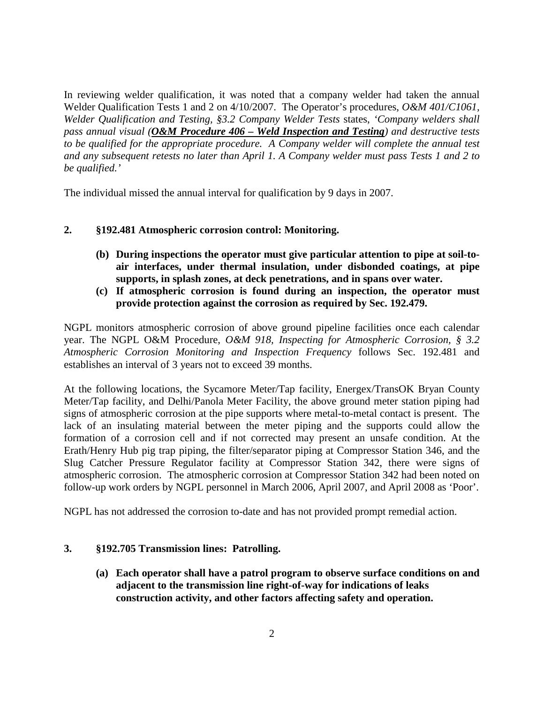In reviewing welder qualification, it was noted that a company welder had taken the annual Welder Qualification Tests 1 and 2 on 4/10/2007. The Operator's procedures, *O&M 401/C1061, Welder Qualification and Testing, §3.2 Company Welder Tests* states, *'Company welders shall pass annual visual (O&M Procedure 406 – Weld Inspection and Testing) and destructive tests to be qualified for the appropriate procedure. A Company welder will complete the annual test and any subsequent retests no later than April 1. A Company welder must pass Tests 1 and 2 to be qualified.'*

The individual missed the annual interval for qualification by 9 days in 2007.

## **2. §192.481 Atmospheric corrosion control: Monitoring.**

- **(b) During inspections the operator must give particular attention to pipe at soil-toair interfaces, under thermal insulation, under disbonded coatings, at pipe supports, in splash zones, at deck penetrations, and in spans over water.**
- **(c) If atmospheric corrosion is found during an inspection, the operator must provide protection against the corrosion as required by Sec. 192.479.**

NGPL monitors atmospheric corrosion of above ground pipeline facilities once each calendar year. The NGPL O&M Procedure, *O&M 918, Inspecting for Atmospheric Corrosion, § 3.2 Atmospheric Corrosion Monitoring and Inspection Frequency* follows Sec. 192.481 and establishes an interval of 3 years not to exceed 39 months.

At the following locations, the Sycamore Meter/Tap facility, Energex/TransOK Bryan County Meter/Tap facility, and Delhi/Panola Meter Facility, the above ground meter station piping had signs of atmospheric corrosion at the pipe supports where metal-to-metal contact is present. The lack of an insulating material between the meter piping and the supports could allow the formation of a corrosion cell and if not corrected may present an unsafe condition. At the Erath/Henry Hub pig trap piping, the filter/separator piping at Compressor Station 346, and the Slug Catcher Pressure Regulator facility at Compressor Station 342, there were signs of atmospheric corrosion. The atmospheric corrosion at Compressor Station 342 had been noted on follow-up work orders by NGPL personnel in March 2006, April 2007, and April 2008 as 'Poor'.

NGPL has not addressed the corrosion to-date and has not provided prompt remedial action.

## **3. §192.705 Transmission lines: Patrolling.**

**(a) Each operator shall have a patrol program to observe surface conditions on and adjacent to the transmission line right-of-way for indications of leaks construction activity, and other factors affecting safety and operation.**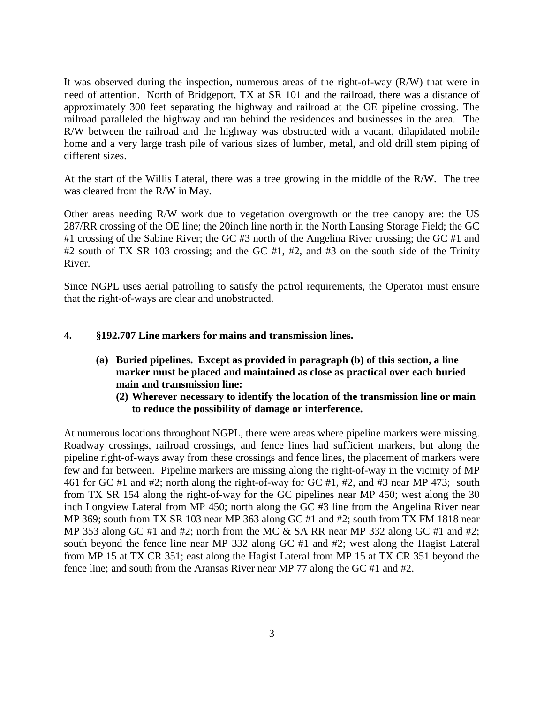It was observed during the inspection, numerous areas of the right-of-way (R/W) that were in need of attention. North of Bridgeport, TX at SR 101 and the railroad, there was a distance of approximately 300 feet separating the highway and railroad at the OE pipeline crossing. The railroad paralleled the highway and ran behind the residences and businesses in the area. The R/W between the railroad and the highway was obstructed with a vacant, dilapidated mobile home and a very large trash pile of various sizes of lumber, metal, and old drill stem piping of different sizes.

At the start of the Willis Lateral, there was a tree growing in the middle of the R/W. The tree was cleared from the R/W in May.

Other areas needing R/W work due to vegetation overgrowth or the tree canopy are: the US 287/RR crossing of the OE line; the 20inch line north in the North Lansing Storage Field; the GC #1 crossing of the Sabine River; the GC #3 north of the Angelina River crossing; the GC #1 and #2 south of TX SR 103 crossing; and the GC #1, #2, and #3 on the south side of the Trinity River.

Since NGPL uses aerial patrolling to satisfy the patrol requirements, the Operator must ensure that the right-of-ways are clear and unobstructed.

## **4. §192.707 Line markers for mains and transmission lines.**

- **(a) Buried pipelines. Except as provided in paragraph (b) of this section, a line marker must be placed and maintained as close as practical over each buried main and transmission line:**
	- **(2) Wherever necessary to identify the location of the transmission line or main to reduce the possibility of damage or interference.**

At numerous locations throughout NGPL, there were areas where pipeline markers were missing. Roadway crossings, railroad crossings, and fence lines had sufficient markers, but along the pipeline right-of-ways away from these crossings and fence lines, the placement of markers were few and far between. Pipeline markers are missing along the right-of-way in the vicinity of MP 461 for GC #1 and #2; north along the right-of-way for GC #1, #2, and #3 near MP 473; south from TX SR 154 along the right-of-way for the GC pipelines near MP 450; west along the 30 inch Longview Lateral from MP 450; north along the GC #3 line from the Angelina River near MP 369; south from TX SR 103 near MP 363 along GC #1 and #2; south from TX FM 1818 near MP 353 along GC #1 and #2; north from the MC & SA RR near MP 332 along GC #1 and #2; south beyond the fence line near MP 332 along GC #1 and #2; west along the Hagist Lateral from MP 15 at TX CR 351; east along the Hagist Lateral from MP 15 at TX CR 351 beyond the fence line; and south from the Aransas River near MP 77 along the GC #1 and #2.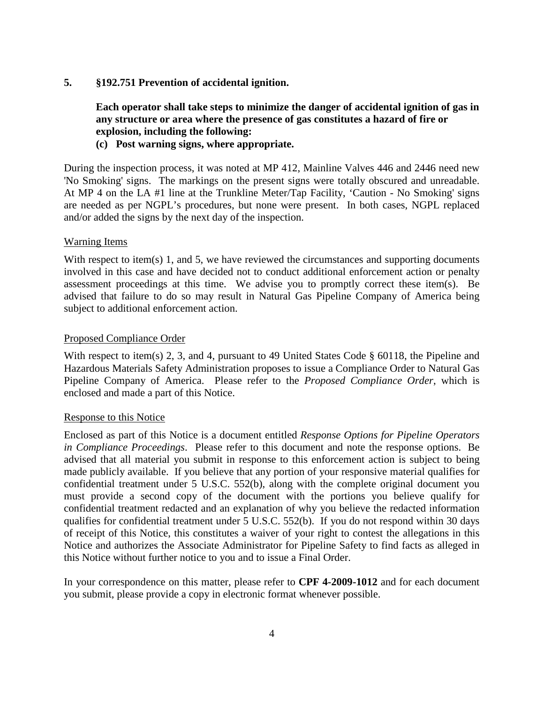#### **5. §192.751 Prevention of accidental ignition.**

**Each operator shall take steps to minimize the danger of accidental ignition of gas in any structure or area where the presence of gas constitutes a hazard of fire or explosion, including the following:**

## **(c) Post warning signs, where appropriate.**

During the inspection process, it was noted at MP 412, Mainline Valves 446 and 2446 need new 'No Smoking' signs. The markings on the present signs were totally obscured and unreadable. At MP 4 on the LA #1 line at the Trunkline Meter/Tap Facility, 'Caution - No Smoking' signs are needed as per NGPL's procedures, but none were present. In both cases, NGPL replaced and/or added the signs by the next day of the inspection.

#### Warning Items

With respect to item(s) 1, and 5, we have reviewed the circumstances and supporting documents involved in this case and have decided not to conduct additional enforcement action or penalty assessment proceedings at this time. We advise you to promptly correct these item(s). Be advised that failure to do so may result in Natural Gas Pipeline Company of America being subject to additional enforcement action.

#### Proposed Compliance Order

With respect to item(s) 2, 3, and 4, pursuant to 49 United States Code § 60118, the Pipeline and Hazardous Materials Safety Administration proposes to issue a Compliance Order to Natural Gas Pipeline Company of America. Please refer to the *Proposed Compliance Order*, which is enclosed and made a part of this Notice.

#### Response to this Notice

Enclosed as part of this Notice is a document entitled *Response Options for Pipeline Operators in Compliance Proceedings*. Please refer to this document and note the response options. Be advised that all material you submit in response to this enforcement action is subject to being made publicly available. If you believe that any portion of your responsive material qualifies for confidential treatment under 5 U.S.C. 552(b), along with the complete original document you must provide a second copy of the document with the portions you believe qualify for confidential treatment redacted and an explanation of why you believe the redacted information qualifies for confidential treatment under 5 U.S.C. 552(b). If you do not respond within 30 days of receipt of this Notice, this constitutes a waiver of your right to contest the allegations in this Notice and authorizes the Associate Administrator for Pipeline Safety to find facts as alleged in this Notice without further notice to you and to issue a Final Order.

In your correspondence on this matter, please refer to **CPF 4-2009-1012** and for each document you submit, please provide a copy in electronic format whenever possible.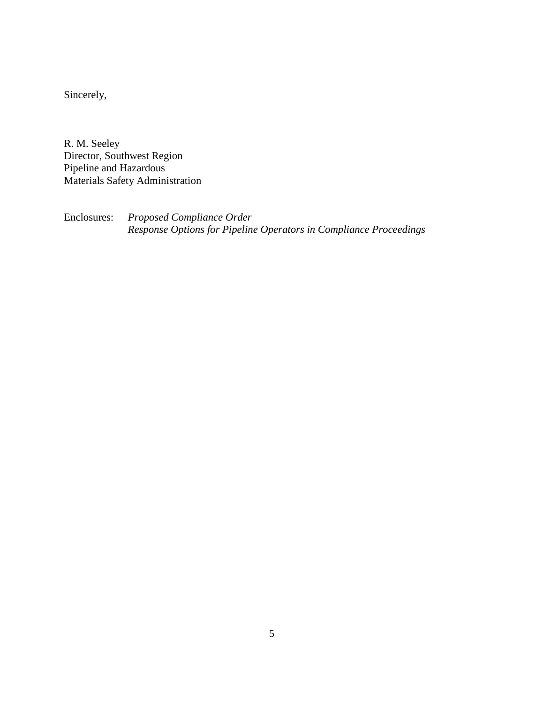Sincerely,

R. M. Seeley Director, Southwest Region Pipeline and Hazardous Materials Safety Administration

Enclosures: *Proposed Compliance Order Response Options for Pipeline Operators in Compliance Proceedings*